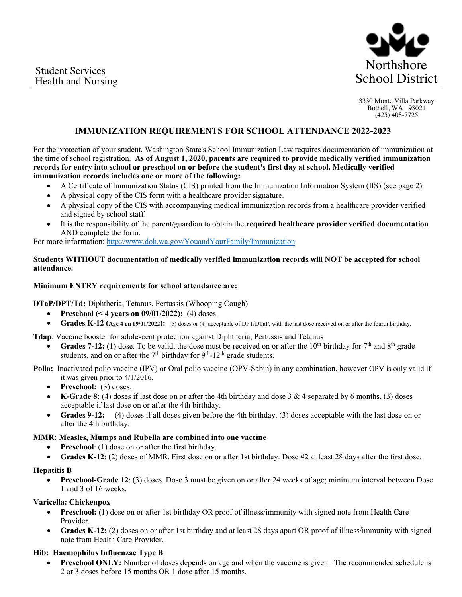

3330 Monte Villa Parkway Bothell, WA 98021 (425) 408-7725

# **IMMUNIZATION REQUIREMENTS FOR SCHOOL ATTENDANCE 2022-2023**

For the protection of your student, Washington State's School Immunization Law requires documentation of immunization at the time of school registration. **As of August 1, 2020, parents are required to provide medically verified immunization records for entry into school or preschool on or before the student's first day at school. Medically verified immunization records includes one or more of the following:** 

- A Certificate of Immunization Status (CIS) printed from the Immunization Information System (IIS) (see page 2).
- A physical copy of the CIS form with a healthcare provider signature.
- A physical copy of the CIS with accompanying medical immunization records from a healthcare provider verified and signed by school staff.
- It is the responsibility of the parent/guardian to obtain the **required healthcare provider verified documentation** AND complete the form.

For more information: http://www.doh.wa.gov/YouandYourFamily/Immunization

### **Students WITHOUT documentation of medically verified immunization records will NOT be accepted for school attendance.**

### **Minimum ENTRY requirements for school attendance are:**

**DTaP/DPT/Td:** Diphtheria, Tetanus, Pertussis (Whooping Cough)

- **Preschool (< 4 years on 09/01/2022):** (4) doses.
- **Grades K-12 (Age 4 on 09/01/2022):** (5) doses or (4) acceptable of DPT/DTaP, with the last dose received on or after the fourth birthday.

**Tdap**: Vaccine booster for adolescent protection against Diphtheria, Pertussis and Tetanus

**Grades 7-12: (1)** dose. To be valid, the dose must be received on or after the 10<sup>th</sup> birthday for  $7<sup>th</sup>$  and  $8<sup>th</sup>$  grade students, and on or after the  $7<sup>th</sup>$  birthday for  $9<sup>th</sup>$ -12<sup>th</sup> grade students.

Polio: Inactivated polio vaccine (IPV) or Oral polio vaccine (OPV-Sabin) in any combination, however OPV is only valid if it was given prior to 4/1/2016.

- **Preschool:** (3) doses.
- **K-Grade 8:** (4) doses if last dose on or after the 4th birthday and dose 3 & 4 separated by 6 months. (3) doses acceptable if last dose on or after the 4th birthday.
- **Grades 9-12:** (4) doses if all doses given before the 4th birthday. (3) doses acceptable with the last dose on or after the 4th birthday.

#### **MMR: Measles, Mumps and Rubella are combined into one vaccine**

- **Preschool**: (1) dose on or after the first birthday.
- **Grades K-12**: (2) doses of MMR. First dose on or after 1st birthday. Dose #2 at least 28 days after the first dose.

# **Hepatitis B**

**Preschool-Grade 12**: (3) doses. Dose 3 must be given on or after 24 weeks of age; minimum interval between Dose 1 and 3 of 16 weeks.

#### **Varicella: Chickenpox**

- **Preschool:** (1) dose on or after 1st birthday OR proof of illness/immunity with signed note from Health Care Provider.
- **Grades K-12:** (2) doses on or after 1st birthday and at least 28 days apart OR proof of illness/immunity with signed note from Health Care Provider.

# **Hib: Haemophilus Influenzae Type B**

**Preschool ONLY:** Number of doses depends on age and when the vaccine is given. The recommended schedule is 2 or 3 doses before 15 months OR 1 dose after 15 months.